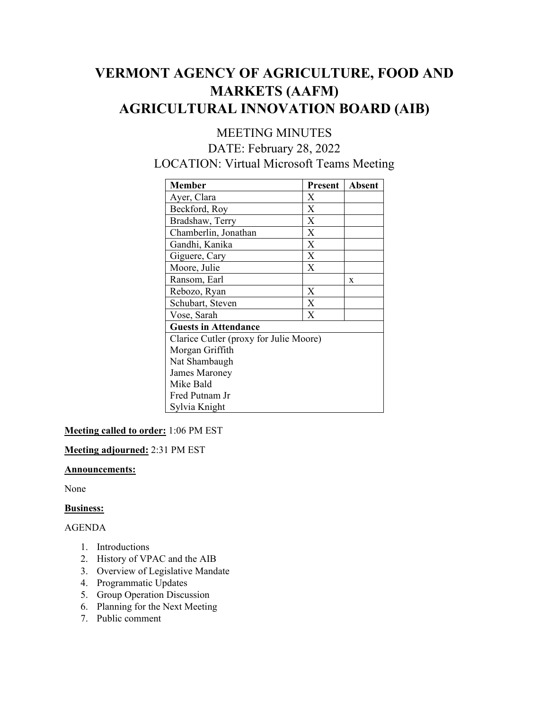# **VERMONT AGENCY OF AGRICULTURE, FOOD AND MARKETS (AAFM) AGRICULTURAL INNOVATION BOARD (AIB)**

## MEETING MINUTES DATE: February 28, 2022 LOCATION: Virtual Microsoft Teams Meeting

| Member                                 | Present | <b>Absent</b> |
|----------------------------------------|---------|---------------|
| Ayer, Clara                            | X       |               |
| Beckford, Roy                          | X       |               |
| Bradshaw, Terry                        | X       |               |
| Chamberlin, Jonathan                   | X       |               |
| Gandhi, Kanika                         | X       |               |
| Giguere, Cary                          | X       |               |
| Moore, Julie                           | X       |               |
| Ransom, Earl                           |         | X             |
| Rebozo, Ryan                           | X       |               |
| Schubart, Steven                       | X       |               |
| Vose, Sarah                            | X       |               |
| <b>Guests in Attendance</b>            |         |               |
| Clarice Cutler (proxy for Julie Moore) |         |               |
| Morgan Griffith                        |         |               |
| Nat Shambaugh                          |         |               |
| James Maroney                          |         |               |
| Mike Bald                              |         |               |
| Fred Putnam Jr                         |         |               |
| Sylvia Knight                          |         |               |

**Meeting called to order:** 1:06 PM EST

**Meeting adjourned:** 2:31 PM EST

## **Announcements:**

None

## **Business:**

## AGENDA

- 1. Introductions
- 2. History of VPAC and the AIB
- 3. Overview of Legislative Mandate
- 4. Programmatic Updates
- 5. Group Operation Discussion
- 6. Planning for the Next Meeting
- 7. Public comment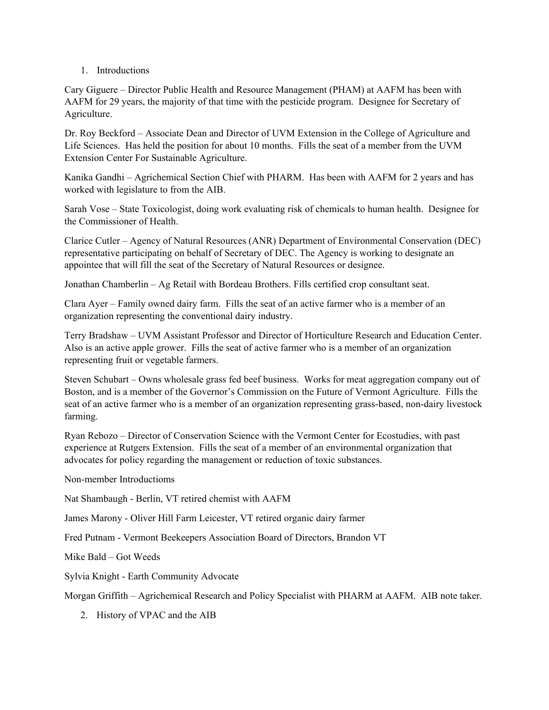1. Introductions

Cary Giguere – Director Public Health and Resource Management (PHAM) at AAFM has been with AAFM for 29 years, the majority of that time with the pesticide program. Designee for Secretary of Agriculture.

Dr. Roy Beckford – Associate Dean and Director of UVM Extension in the College of Agriculture and Life Sciences. Has held the position for about 10 months. Fills the seat of a member from the UVM Extension Center For Sustainable Agriculture.

Kanika Gandhi – Agrichemical Section Chief with PHARM. Has been with AAFM for 2 years and has worked with legislature to from the AIB.

Sarah Vose – State Toxicologist, doing work evaluating risk of chemicals to human health. Designee for the Commissioner of Health.

Clarice Cutler – Agency of Natural Resources (ANR) Department of Environmental Conservation (DEC) representative participating on behalf of Secretary of DEC. The Agency is working to designate an appointee that will fill the seat of the Secretary of Natural Resources or designee.

Jonathan Chamberlin – Ag Retail with Bordeau Brothers. Fills certified crop consultant seat.

Clara Ayer – Family owned dairy farm. Fills the seat of an active farmer who is a member of an organization representing the conventional dairy industry.

Terry Bradshaw – UVM Assistant Professor and Director of Horticulture Research and Education Center. Also is an active apple grower. Fills the seat of active farmer who is a member of an organization representing fruit or vegetable farmers.

Steven Schubart – Owns wholesale grass fed beef business. Works for meat aggregation company out of Boston, and is a member of the Governor's Commission on the Future of Vermont Agriculture. Fills the seat of an active farmer who is a member of an organization representing grass-based, non-dairy livestock farming.

Ryan Rebozo – Director of Conservation Science with the Vermont Center for Ecostudies, with past experience at Rutgers Extension. Fills the seat of a member of an environmental organization that advocates for policy regarding the management or reduction of toxic substances.

Non-member Introductioms

Nat Shambaugh - Berlin, VT retired chemist with AAFM

James Marony - Oliver Hill Farm Leicester, VT retired organic dairy farmer

Fred Putnam - Vermont Beekeepers Association Board of Directors, Brandon VT

Mike Bald – Got Weeds

Sylvia Knight - Earth Community Advocate

Morgan Griffith – Agrichemical Research and Policy Specialist with PHARM at AAFM. AIB note taker.

2. History of VPAC and the AIB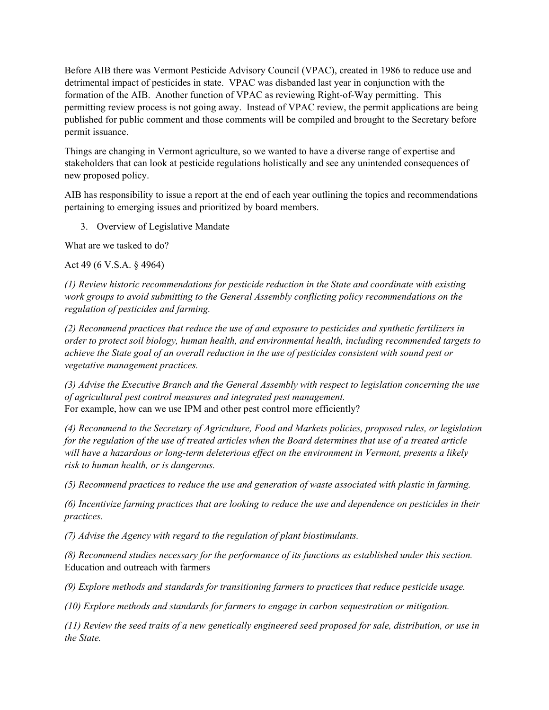Before AIB there was Vermont Pesticide Advisory Council (VPAC), created in 1986 to reduce use and detrimental impact of pesticides in state. VPAC was disbanded last year in conjunction with the formation of the AIB. Another function of VPAC as reviewing Right-of-Way permitting. This permitting review process is not going away. Instead of VPAC review, the permit applications are being published for public comment and those comments will be compiled and brought to the Secretary before permit issuance.

Things are changing in Vermont agriculture, so we wanted to have a diverse range of expertise and stakeholders that can look at pesticide regulations holistically and see any unintended consequences of new proposed policy.

AIB has responsibility to issue a report at the end of each year outlining the topics and recommendations pertaining to emerging issues and prioritized by board members.

3. Overview of Legislative Mandate

What are we tasked to do?

Act 49 (6 V.S.A. § 4964)

*(1) Review historic recommendations for pesticide reduction in the State and coordinate with existing work groups to avoid submitting to the General Assembly conflicting policy recommendations on the regulation of pesticides and farming.* 

*(2) Recommend practices that reduce the use of and exposure to pesticides and synthetic fertilizers in order to protect soil biology, human health, and environmental health, including recommended targets to achieve the State goal of an overall reduction in the use of pesticides consistent with sound pest or vegetative management practices.*

*(3) Advise the Executive Branch and the General Assembly with respect to legislation concerning the use of agricultural pest control measures and integrated pest management.* For example, how can we use IPM and other pest control more efficiently?

*(4) Recommend to the Secretary of Agriculture, Food and Markets policies, proposed rules, or legislation for the regulation of the use of treated articles when the Board determines that use of a treated article will have a hazardous or long-term deleterious effect on the environment in Vermont, presents a likely risk to human health, or is dangerous.* 

*(5) Recommend practices to reduce the use and generation of waste associated with plastic in farming.*

*(6) Incentivize farming practices that are looking to reduce the use and dependence on pesticides in their practices.*

*(7) Advise the Agency with regard to the regulation of plant biostimulants.* 

*(8) Recommend studies necessary for the performance of its functions as established under this section.* Education and outreach with farmers

*(9) Explore methods and standards for transitioning farmers to practices that reduce pesticide usage.*

*(10) Explore methods and standards for farmers to engage in carbon sequestration or mitigation.* 

*(11) Review the seed traits of a new genetically engineered seed proposed for sale, distribution, or use in the State.*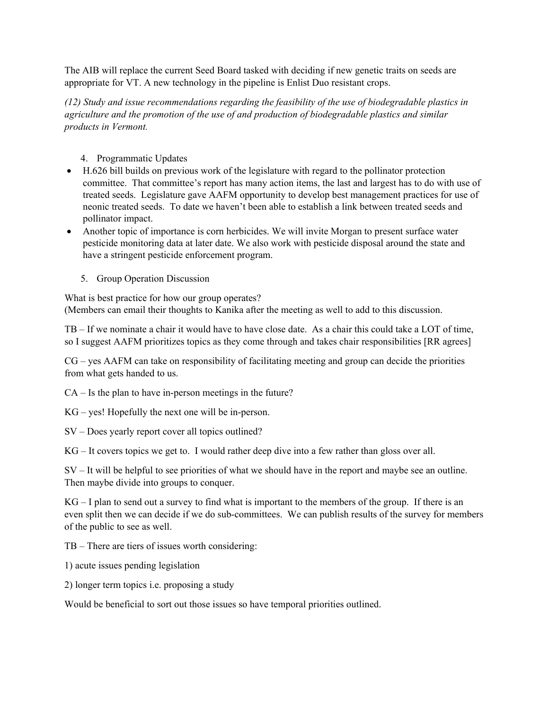The AIB will replace the current Seed Board tasked with deciding if new genetic traits on seeds are appropriate for VT. A new technology in the pipeline is Enlist Duo resistant crops.

*(12) Study and issue recommendations regarding the feasibility of the use of biodegradable plastics in agriculture and the promotion of the use of and production of biodegradable plastics and similar products in Vermont.*

- 4. Programmatic Updates
- H.626 bill builds on previous work of the legislature with regard to the pollinator protection committee. That committee's report has many action items, the last and largest has to do with use of treated seeds. Legislature gave AAFM opportunity to develop best management practices for use of neonic treated seeds. To date we haven't been able to establish a link between treated seeds and pollinator impact.
- Another topic of importance is corn herbicides. We will invite Morgan to present surface water pesticide monitoring data at later date. We also work with pesticide disposal around the state and have a stringent pesticide enforcement program.
	- 5. Group Operation Discussion

What is best practice for how our group operates? (Members can email their thoughts to Kanika after the meeting as well to add to this discussion.

TB – If we nominate a chair it would have to have close date. As a chair this could take a LOT of time, so I suggest AAFM prioritizes topics as they come through and takes chair responsibilities [RR agrees]

CG – yes AAFM can take on responsibility of facilitating meeting and group can decide the priorities from what gets handed to us.

CA – Is the plan to have in-person meetings in the future?

KG – yes! Hopefully the next one will be in-person.

SV – Does yearly report cover all topics outlined?

KG – It covers topics we get to. I would rather deep dive into a few rather than gloss over all.

SV – It will be helpful to see priorities of what we should have in the report and maybe see an outline. Then maybe divide into groups to conquer.

KG – I plan to send out a survey to find what is important to the members of the group. If there is an even split then we can decide if we do sub-committees. We can publish results of the survey for members of the public to see as well.

TB – There are tiers of issues worth considering:

1) acute issues pending legislation

2) longer term topics i.e. proposing a study

Would be beneficial to sort out those issues so have temporal priorities outlined.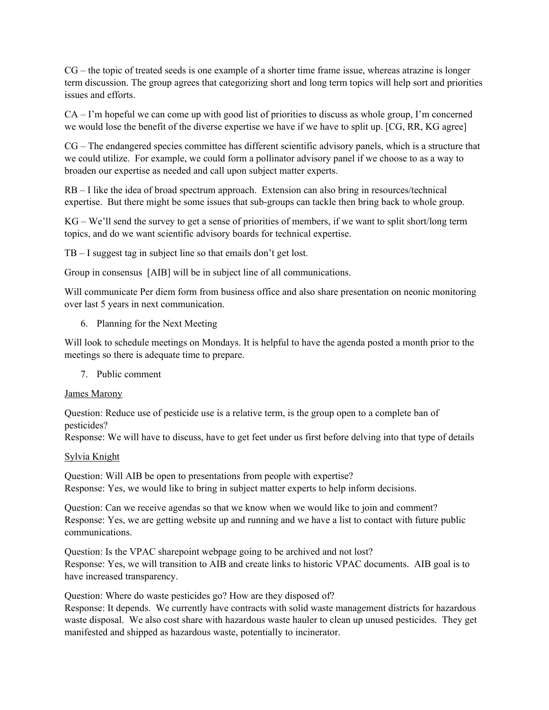CG – the topic of treated seeds is one example of a shorter time frame issue, whereas atrazine is longer term discussion. The group agrees that categorizing short and long term topics will help sort and priorities issues and efforts.

CA – I'm hopeful we can come up with good list of priorities to discuss as whole group, I'm concerned we would lose the benefit of the diverse expertise we have if we have to split up. [CG, RR, KG agree]

CG – The endangered species committee has different scientific advisory panels, which is a structure that we could utilize. For example, we could form a pollinator advisory panel if we choose to as a way to broaden our expertise as needed and call upon subject matter experts.

RB – I like the idea of broad spectrum approach. Extension can also bring in resources/technical expertise. But there might be some issues that sub-groups can tackle then bring back to whole group.

KG – We'll send the survey to get a sense of priorities of members, if we want to split short/long term topics, and do we want scientific advisory boards for technical expertise.

TB – I suggest tag in subject line so that emails don't get lost.

Group in consensus [AIB] will be in subject line of all communications.

Will communicate Per diem form from business office and also share presentation on neonic monitoring over last 5 years in next communication.

6. Planning for the Next Meeting

Will look to schedule meetings on Mondays. It is helpful to have the agenda posted a month prior to the meetings so there is adequate time to prepare.

7. Public comment

#### James Marony

Question: Reduce use of pesticide use is a relative term, is the group open to a complete ban of pesticides?

Response: We will have to discuss, have to get feet under us first before delving into that type of details

## Sylvia Knight

Question: Will AIB be open to presentations from people with expertise? Response: Yes, we would like to bring in subject matter experts to help inform decisions.

Question: Can we receive agendas so that we know when we would like to join and comment? Response: Yes, we are getting website up and running and we have a list to contact with future public communications.

Question: Is the VPAC sharepoint webpage going to be archived and not lost? Response: Yes, we will transition to AIB and create links to historic VPAC documents. AIB goal is to have increased transparency.

Question: Where do waste pesticides go? How are they disposed of? Response: It depends. We currently have contracts with solid waste management districts for hazardous waste disposal. We also cost share with hazardous waste hauler to clean up unused pesticides. They get manifested and shipped as hazardous waste, potentially to incinerator.